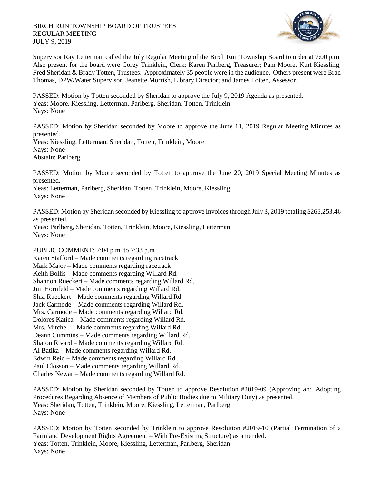

Supervisor Ray Letterman called the July Regular Meeting of the Birch Run Township Board to order at 7:00 p.m. Also present for the board were Corey Trinklein, Clerk; Karen Parlberg, Treasurer; Pam Moore, Kurt Kiessling, Fred Sheridan & Brady Totten, Trustees. Approximately 35 people were in the audience. Others present were Brad Thomas, DPW/Water Supervisor; Jeanette Morrish, Library Director; and James Totten, Assessor.

PASSED: Motion by Totten seconded by Sheridan to approve the July 9, 2019 Agenda as presented. Yeas: Moore, Kiessling, Letterman, Parlberg, Sheridan, Totten, Trinklein Nays: None

PASSED: Motion by Sheridan seconded by Moore to approve the June 11, 2019 Regular Meeting Minutes as presented.

Yeas: Kiessling, Letterman, Sheridan, Totten, Trinklein, Moore Nays: None Abstain: Parlberg

PASSED: Motion by Moore seconded by Totten to approve the June 20, 2019 Special Meeting Minutes as presented.

Yeas: Letterman, Parlberg, Sheridan, Totten, Trinklein, Moore, Kiessling Nays: None

PASSED: Motion by Sheridan seconded by Kiessling to approve Invoices through July 3, 2019 totaling \$263,253.46 as presented.

Yeas: Parlberg, Sheridan, Totten, Trinklein, Moore, Kiessling, Letterman Nays: None

PUBLIC COMMENT: 7:04 p.m. to 7:33 p.m.

Karen Stafford – Made comments regarding racetrack Mark Major – Made comments regarding racetrack Keith Bollis – Made comments regarding Willard Rd. Shannon Rueckert – Made comments regarding Willard Rd. Jim Hornfeld – Made comments regarding Willard Rd. Shia Rueckert – Made comments regarding Willard Rd. Jack Carmode – Made comments regarding Willard Rd. Mrs. Carmode – Made comments regarding Willard Rd. Dolores Katica – Made comments regarding Willard Rd. Mrs. Mitchell – Made comments regarding Willard Rd. Deann Cummins – Made comments regarding Willard Rd. Sharon Rivard – Made comments regarding Willard Rd. Al Batika – Made comments regarding Willard Rd. Edwin Reid – Made comments regarding Willard Rd. Paul Closson – Made comments regarding Willard Rd. Charles Newar – Made comments regarding Willard Rd.

PASSED: Motion by Sheridan seconded by Totten to approve Resolution #2019-09 (Approving and Adopting Procedures Regarding Absence of Members of Public Bodies due to Military Duty) as presented. Yeas: Sheridan, Totten, Trinklein, Moore, Kiessling, Letterman, Parlberg Nays: None

PASSED: Motion by Totten seconded by Trinklein to approve Resolution #2019-10 (Partial Termination of a Farmland Development Rights Agreement – With Pre-Existing Structure) as amended. Yeas: Totten, Trinklein, Moore, Kiessling, Letterman, Parlberg, Sheridan Nays: None